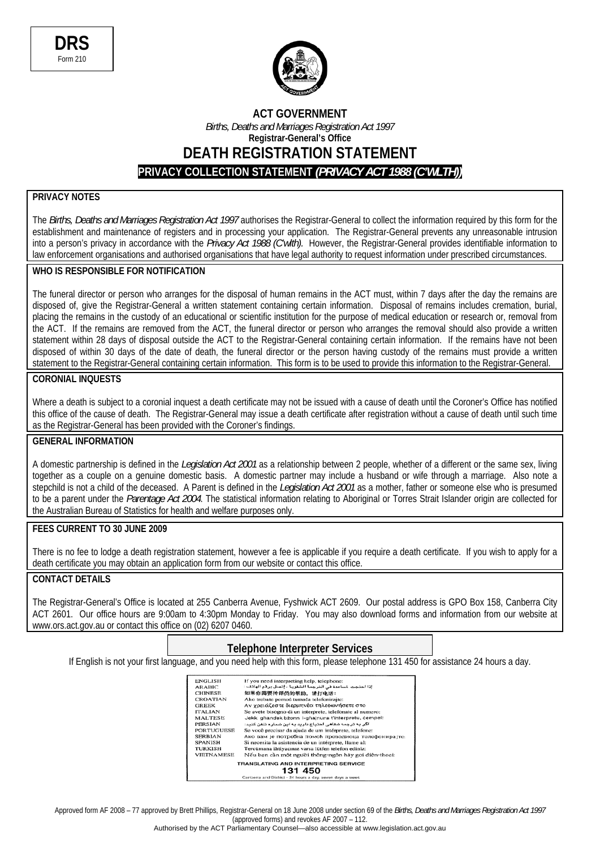

## **ACT GOVERNMENT**  *Births, Deaths and Marriages Registration Act 1997*  **Registrar-General's Office DEATH REGISTRATION STATEMENT PRIVACY COLLECTION STATEMENT** *(PRIVACY ACT 1988 (C'WLTH))*

### **PRIVACY NOTES**

The *Births, Deaths and Marriages Registration Act 1997* authorises the Registrar-General to collect the information required by this form for the establishment and maintenance of registers and in processing your application. The Registrar-General prevents any unreasonable intrusion into a person's privacy in accordance with the *Privacy Act 1988 (C'wlth).* However, the Registrar-General provides identifiable information to law enforcement organisations and authorised organisations that have legal authority to request information under prescribed circumstances.

### **WHO IS RESPONSIBLE FOR NOTIFICATION**

The funeral director or person who arranges for the disposal of human remains in the ACT must, within 7 days after the day the remains are disposed of, give the Registrar-General a written statement containing certain information. Disposal of remains includes cremation. burial. placing the remains in the custody of an educational or scientific institution for the purpose of medical education or research or, removal from the ACT. If the remains are removed from the ACT, the funeral director or person who arranges the removal should also provide a written statement within 28 days of disposal outside the ACT to the Registrar-General containing certain information. If the remains have not been disposed of within 30 days of the date of death, the funeral director or the person having custody of the remains must provide a written statement to the Registrar-General containing certain information. This form is to be used to provide this information to the Registrar-General.

#### **CORONIAL INQUESTS**

Where a death is subject to a coronial inquest a death certificate may not be issued with a cause of death until the Coroner's Office has notified this office of the cause of death. The Registrar-General may issue a death certificate after registration without a cause of death until such time as the Registrar-General has been provided with the Coroner's findings.

#### **GENERAL INFORMATION**

A domestic partnership is defined in the *Legislation Act 2001* as a relationship between 2 people, whether of a different or the same sex, living together as a couple on a genuine domestic basis. A domestic partner may include a husband or wife through a marriage. Also note a stepchild is not a child of the deceased. A Parent is defined in the *Legislation Act 2001* as a mother, father or someone else who is presumed to be a parent under the *Parentage Act 2004*. The statistical information relating to Aboriginal or Torres Strait Islander origin are collected for the Australian Bureau of Statistics for health and welfare purposes only.

#### **FEES CURRENT TO 30 JUNE 2009**

There is no fee to lodge a death registration statement, however a fee is applicable if you require a death certificate. If you wish to apply for a death certificate you may obtain an application form from our website or contact this office.

## **CONTACT DETAILS**

The Registrar-General's Office is located at 255 Canberra Avenue, Fyshwick ACT 2609. Our postal address is GPO Box 158, Canberra City ACT 2601. Our office hours are 9:00am to 4:30pm Monday to Friday. You may also download forms and information from our website at www.ors.act.gov.au or contact this office on (02) 6207 0460.

### **Telephone Interpreter Services**

If English is not your first language, and you need help with this form, please telephone 131 450 for assistance 24 hours a day.

| <b>ENGLISH</b>                              | If you need interpreting help, telephone:                 |  |
|---------------------------------------------|-----------------------------------------------------------|--|
| <b>ARABIC</b>                               | إذا احتجت الساعدة في الترجمة الشفوية ، إتصل برقم الهاتف : |  |
| <b>CHINESE</b>                              | 如果你需要传译员的帮助,请打电话:                                         |  |
| <b>CROATIAN</b>                             | Ako trebate pomoć tumača telefonirajte:                   |  |
| <b>GREEK</b>                                | Αν χρειάζεστε διερμηνέα τηλεφωνήσετε στο                  |  |
| <b>ITALIAN</b>                              | Se avete bisogno di un interprete, telefonate al numero:  |  |
| <b>MALTESE</b>                              | Jekk ghandek bżonn I-ghajnuna t'interpretu, cempel:       |  |
| PERSIAN                                     | اگر به ترجمه شفاهی احتیاج دارید به این شمار و تلفن کنید:  |  |
| <b>PORTUGUESE</b>                           | Se você precisar da ajuda de um intérprete, telefone:     |  |
| <b>SERBIAN</b>                              | Ако вам је потребна помоћ преводиоца телефонира{те:       |  |
| <b>SPANISH</b>                              | Si necesita la asistencia de un intérprete, llame al:     |  |
| <b>TURKISH</b>                              | Tercümana ihtiyacınız varsa lütfen telefon ediniz:        |  |
| <b>VIETNAMESE</b>                           | Nếu ban cần một người thông-ngôn hãy gọi điện-thoại:      |  |
| <b>TRANSLATING AND INTERPRETING SERVICE</b> |                                                           |  |
|                                             | 131 450                                                   |  |
|                                             | Conharro and District - 24 hours a day seven days a week  |  |

Approved form AF 2008 – 77 approved by Brett Phillips, Registrar-General on 18 June 2008 under section 69 of the *Births, Deaths and Marriages Registration Act 1997* (approved forms) and revokes AF 2007 – 112.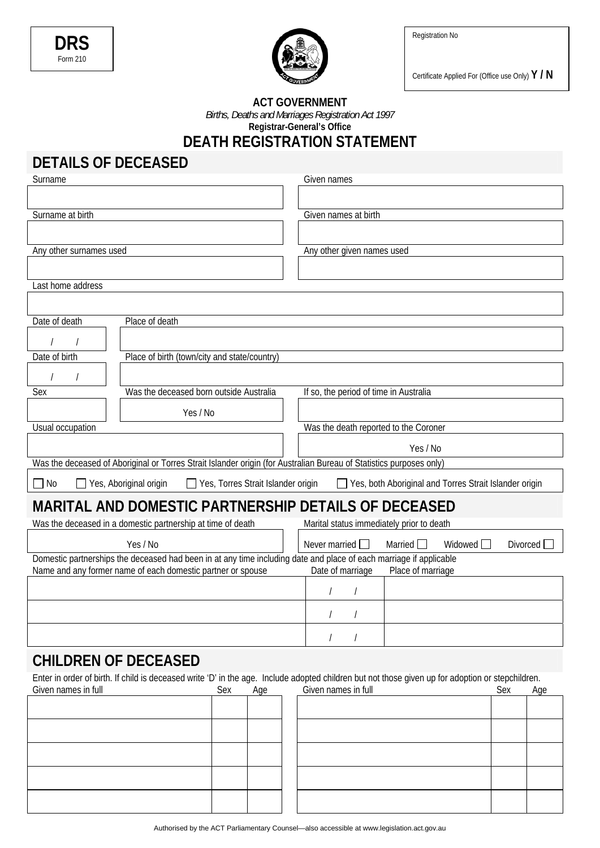Registration No





Certificate Applied For (Office use Only) **Y / N** 

#### **ACT GOVERNMENT**  *Births, Deaths and Marriages Registration Act 1997*  **Registrar-General's Office**

# **DEATH REGISTRATION STATEMENT**

# **DETAILS OF DECEASED**

| Surname                                                                                                            |                                                                                                                     | Given names                               |                |                                                        |            |
|--------------------------------------------------------------------------------------------------------------------|---------------------------------------------------------------------------------------------------------------------|-------------------------------------------|----------------|--------------------------------------------------------|------------|
|                                                                                                                    |                                                                                                                     |                                           |                |                                                        |            |
| Surname at birth                                                                                                   |                                                                                                                     | Given names at birth                      |                |                                                        |            |
|                                                                                                                    |                                                                                                                     |                                           |                |                                                        |            |
|                                                                                                                    |                                                                                                                     |                                           |                |                                                        |            |
| Any other surnames used                                                                                            |                                                                                                                     | Any other given names used                |                |                                                        |            |
|                                                                                                                    |                                                                                                                     |                                           |                |                                                        |            |
| Last home address                                                                                                  |                                                                                                                     |                                           |                |                                                        |            |
|                                                                                                                    |                                                                                                                     |                                           |                |                                                        |            |
| Date of death                                                                                                      | Place of death                                                                                                      |                                           |                |                                                        |            |
|                                                                                                                    |                                                                                                                     |                                           |                |                                                        |            |
| Date of birth                                                                                                      |                                                                                                                     |                                           |                |                                                        |            |
|                                                                                                                    | Place of birth (town/city and state/country)                                                                        |                                           |                |                                                        |            |
|                                                                                                                    |                                                                                                                     |                                           |                |                                                        |            |
| Sex                                                                                                                | Was the deceased born outside Australia                                                                             | If so, the period of time in Australia    |                |                                                        |            |
|                                                                                                                    | Yes / No                                                                                                            |                                           |                |                                                        |            |
| Usual occupation                                                                                                   |                                                                                                                     | Was the death reported to the Coroner     |                |                                                        |            |
|                                                                                                                    |                                                                                                                     |                                           | Yes / No       |                                                        |            |
|                                                                                                                    | Was the deceased of Aboriginal or Torres Strait Islander origin (for Australian Bureau of Statistics purposes only) |                                           |                |                                                        |            |
|                                                                                                                    |                                                                                                                     |                                           |                |                                                        |            |
| 7 No                                                                                                               | Yes, Aboriginal origin<br>Yes, Torres Strait Islander origin                                                        |                                           |                | Yes, both Aboriginal and Torres Strait Islander origin |            |
| MARITAL AND DOMESTIC PARTNERSHIP DETAILS OF DECEASED                                                               |                                                                                                                     |                                           |                |                                                        |            |
| Was the deceased in a domestic partnership at time of death                                                        |                                                                                                                     | Marital status immediately prior to death |                |                                                        |            |
| Yes / No                                                                                                           |                                                                                                                     | Never married $\Box$                      | Married $\Box$ | Widowed <sup>[</sup>                                   | Divorced [ |
| Domestic partnerships the deceased had been in at any time including date and place of each marriage if applicable |                                                                                                                     |                                           |                |                                                        |            |
| Name and any former name of each domestic partner or spouse<br>Date of marriage<br>Place of marriage               |                                                                                                                     |                                           |                |                                                        |            |
|                                                                                                                    |                                                                                                                     |                                           |                |                                                        |            |
|                                                                                                                    |                                                                                                                     |                                           |                |                                                        |            |
|                                                                                                                    |                                                                                                                     |                                           |                |                                                        |            |
|                                                                                                                    |                                                                                                                     |                                           |                |                                                        |            |

# **CHILDREN OF DECEASED**

Enter in order of birth. If child is deceased write 'D' in the age. Include adopted children but not those given up for adoption or stepchildren. Given names in full Sex Age

| Given names in full | Sex | Age |
|---------------------|-----|-----|
|                     |     |     |
|                     |     |     |
|                     |     |     |
|                     |     |     |
|                     |     |     |
|                     |     |     |